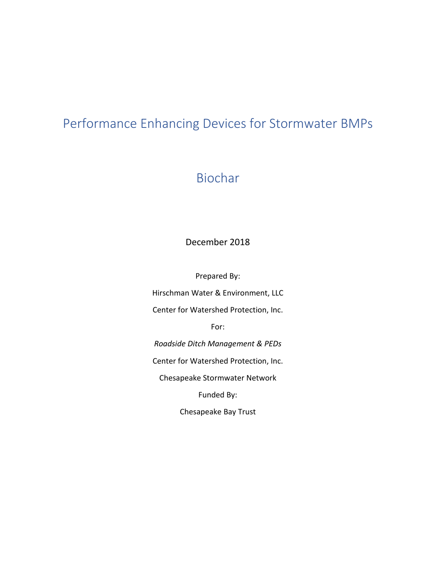# Performance Enhancing Devices for Stormwater BMPs

# Biochar

# December 2018

Prepared By:

Hirschman Water & Environment, LLC

Center for Watershed Protection, Inc.

For:

*Roadside Ditch Management & PEDs*

Center for Watershed Protection, Inc.

Chesapeake Stormwater Network

Funded By:

Chesapeake Bay Trust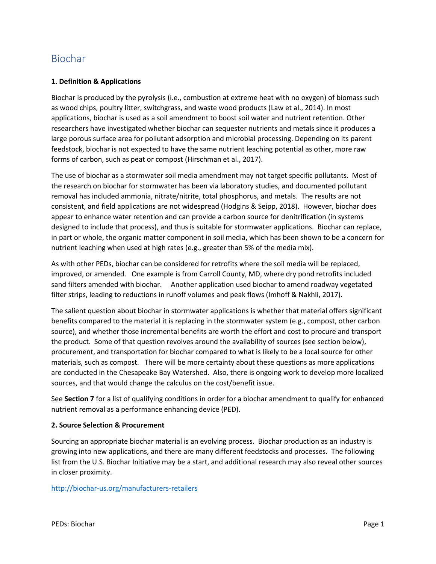# Biochar

# **1. Definition & Applications**

Biochar is produced by the pyrolysis (i.e., combustion at extreme heat with no oxygen) of biomass such as wood chips, poultry litter, switchgrass, and waste wood products (Law et al., 2014). In most applications, biochar is used as a soil amendment to boost soil water and nutrient retention. Other researchers have investigated whether biochar can sequester nutrients and metals since it produces a large porous surface area for pollutant adsorption and microbial processing. Depending on its parent feedstock, biochar is not expected to have the same nutrient leaching potential as other, more raw forms of carbon, such as peat or compost (Hirschman et al., 2017).

The use of biochar as a stormwater soil media amendment may not target specific pollutants. Most of the research on biochar for stormwater has been via laboratory studies, and documented pollutant removal has included ammonia, nitrate/nitrite, total phosphorus, and metals. The results are not consistent, and field applications are not widespread (Hodgins & Seipp, 2018). However, biochar does appear to enhance water retention and can provide a carbon source for denitrification (in systems designed to include that process), and thus is suitable for stormwater applications. Biochar can replace, in part or whole, the organic matter component in soil media, which has been shown to be a concern for nutrient leaching when used at high rates (e.g., greater than 5% of the media mix).

As with other PEDs, biochar can be considered for retrofits where the soil media will be replaced, improved, or amended. One example is from Carroll County, MD, where dry pond retrofits included sand filters amended with biochar. Another application used biochar to amend roadway vegetated filter strips, leading to reductions in runoff volumes and peak flows (Imhoff & Nakhli, 2017).

The salient question about biochar in stormwater applications is whether that material offers significant benefits compared to the material it is replacing in the stormwater system (e.g., compost, other carbon source), and whether those incremental benefits are worth the effort and cost to procure and transport the product. Some of that question revolves around the availability of sources (see section below), procurement, and transportation for biochar compared to what is likely to be a local source for other materials, such as compost. There will be more certainty about these questions as more applications are conducted in the Chesapeake Bay Watershed. Also, there is ongoing work to develop more localized sources, and that would change the calculus on the cost/benefit issue.

See **Section 7** for a list of qualifying conditions in order for a biochar amendment to qualify for enhanced nutrient removal as a performance enhancing device (PED).

## **2. Source Selection & Procurement**

Sourcing an appropriate biochar material is an evolving process. Biochar production as an industry is growing into new applications, and there are many different feedstocks and processes. The following list from the U.S. Biochar Initiative may be a start, and additional research may also reveal other sources in closer proximity.

<http://biochar-us.org/manufacturers-retailers>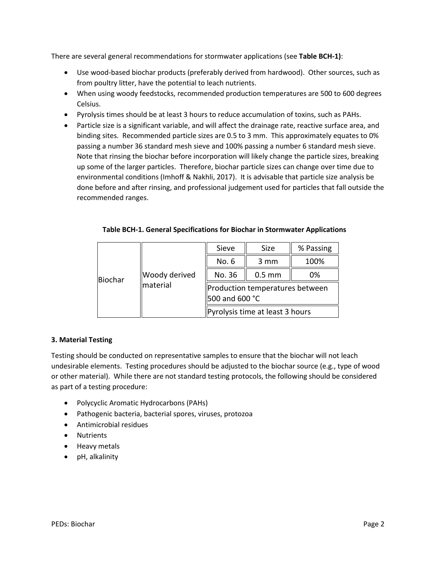There are several general recommendations for stormwater applications (see **Table BCH-1)**:

- Use wood-based biochar products (preferably derived from hardwood). Other sources, such as from poultry litter, have the potential to leach nutrients.
- When using woody feedstocks, recommended production temperatures are 500 to 600 degrees Celsius.
- Pyrolysis times should be at least 3 hours to reduce accumulation of toxins, such as PAHs.
- Particle size is a significant variable, and will affect the drainage rate, reactive surface area, and binding sites. Recommended particle sizes are 0.5 to 3 mm. This approximately equates to 0% passing a number 36 standard mesh sieve and 100% passing a number 6 standard mesh sieve. Note that rinsing the biochar before incorporation will likely change the particle sizes, breaking up some of the larger particles. Therefore, biochar particle sizes can change over time due to environmental conditions (Imhoff & Nakhli, 2017). It is advisable that particle size analysis be done before and after rinsing, and professional judgement used for particles that fall outside the recommended ranges.

| Biochar | Woody derived<br>material | Sieve                                             | Size             | % Passing |
|---------|---------------------------|---------------------------------------------------|------------------|-----------|
|         |                           | No. 6                                             | $3 \, \text{mm}$ | 100%      |
|         |                           | No. 36                                            | $0.5$ mm         | 0%        |
|         |                           | Production temperatures between<br>500 and 600 °C |                  |           |
|         |                           | Pyrolysis time at least 3 hours                   |                  |           |

# **3. Material Testing**

Testing should be conducted on representative samples to ensure that the biochar will not leach undesirable elements. Testing procedures should be adjusted to the biochar source (e.g., type of wood or other material). While there are not standard testing protocols, the following should be considered as part of a testing procedure:

- Polycyclic Aromatic Hydrocarbons (PAHs)
- Pathogenic bacteria, bacterial spores, viruses, protozoa
- Antimicrobial residues
- Nutrients
- Heavy metals
- pH, alkalinity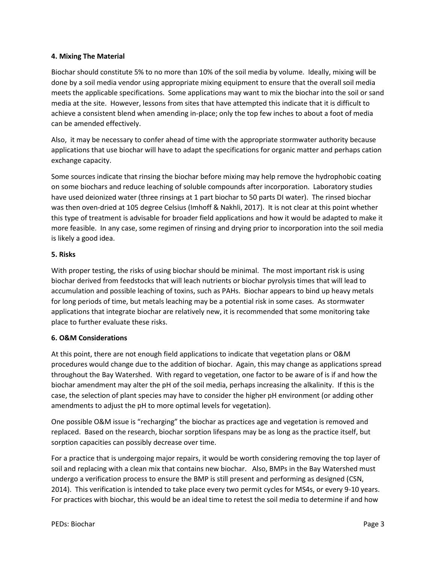## **4. Mixing The Material**

Biochar should constitute 5% to no more than 10% of the soil media by volume. Ideally, mixing will be done by a soil media vendor using appropriate mixing equipment to ensure that the overall soil media meets the applicable specifications. Some applications may want to mix the biochar into the soil or sand media at the site. However, lessons from sites that have attempted this indicate that it is difficult to achieve a consistent blend when amending in-place; only the top few inches to about a foot of media can be amended effectively.

Also, it may be necessary to confer ahead of time with the appropriate stormwater authority because applications that use biochar will have to adapt the specifications for organic matter and perhaps cation exchange capacity.

Some sources indicate that rinsing the biochar before mixing may help remove the hydrophobic coating on some biochars and reduce leaching of soluble compounds after incorporation. Laboratory studies have used deionized water (three rinsings at 1 part biochar to 50 parts DI water). The rinsed biochar was then oven-dried at 105 degree Celsius (Imhoff & Nakhli, 2017). It is not clear at this point whether this type of treatment is advisable for broader field applications and how it would be adapted to make it more feasible. In any case, some regimen of rinsing and drying prior to incorporation into the soil media is likely a good idea.

# **5. Risks**

With proper testing, the risks of using biochar should be minimal. The most important risk is using biochar derived from feedstocks that will leach nutrients or biochar pyrolysis times that will lead to accumulation and possible leaching of toxins, such as PAHs. Biochar appears to bind up heavy metals for long periods of time, but metals leaching may be a potential risk in some cases. As stormwater applications that integrate biochar are relatively new, it is recommended that some monitoring take place to further evaluate these risks.

## **6. O&M Considerations**

At this point, there are not enough field applications to indicate that vegetation plans or O&M procedures would change due to the addition of biochar. Again, this may change as applications spread throughout the Bay Watershed. With regard to vegetation, one factor to be aware of is if and how the biochar amendment may alter the pH of the soil media, perhaps increasing the alkalinity. If this is the case, the selection of plant species may have to consider the higher pH environment (or adding other amendments to adjust the pH to more optimal levels for vegetation).

One possible O&M issue is "recharging" the biochar as practices age and vegetation is removed and replaced. Based on the research, biochar sorption lifespans may be as long as the practice itself, but sorption capacities can possibly decrease over time.

For a practice that is undergoing major repairs, it would be worth considering removing the top layer of soil and replacing with a clean mix that contains new biochar. Also, BMPs in the Bay Watershed must undergo a verification process to ensure the BMP is still present and performing as designed (CSN, 2014). This verification is intended to take place every two permit cycles for MS4s, or every 9-10 years. For practices with biochar, this would be an ideal time to retest the soil media to determine if and how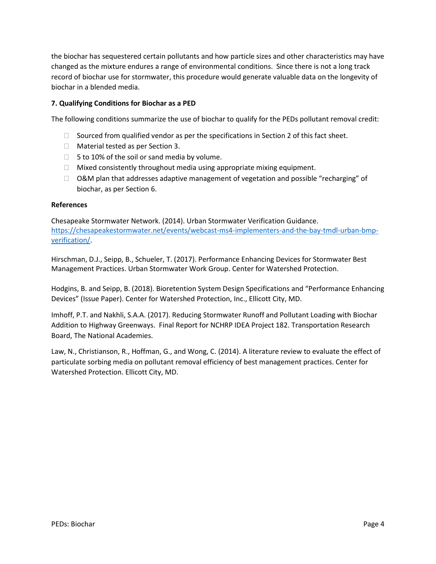the biochar has sequestered certain pollutants and how particle sizes and other characteristics may have changed as the mixture endures a range of environmental conditions. Since there is not a long track record of biochar use for stormwater, this procedure would generate valuable data on the longevity of biochar in a blended media.

# **7. Qualifying Conditions for Biochar as a PED**

The following conditions summarize the use of biochar to qualify for the PEDs pollutant removal credit:

- $\Box$  Sourced from qualified vendor as per the specifications in Section 2 of this fact sheet.
- □ Material tested as per Section 3.
- $\Box$  5 to 10% of the soil or sand media by volume.
- $\Box$  Mixed consistently throughout media using appropriate mixing equipment.
- $\Box$  O&M plan that addresses adaptive management of vegetation and possible "recharging" of biochar, as per Section 6.

#### **References**

Chesapeake Stormwater Network. (2014). Urban Stormwater Verification Guidance. [https://chesapeakestormwater.net/events/webcast-ms4-implementers-and-the-bay-tmdl-urban-bmp](https://chesapeakestormwater.net/events/webcast-ms4-implementers-and-the-bay-tmdl-urban-bmp-verification/)[verification/.](https://chesapeakestormwater.net/events/webcast-ms4-implementers-and-the-bay-tmdl-urban-bmp-verification/)

Hirschman, D.J., Seipp, B., Schueler, T. (2017). Performance Enhancing Devices for Stormwater Best Management Practices. Urban Stormwater Work Group. Center for Watershed Protection.

Hodgins, B. and Seipp, B. (2018). Bioretention System Design Specifications and "Performance Enhancing Devices" (Issue Paper). Center for Watershed Protection, Inc., Ellicott City, MD.

Imhoff, P.T. and Nakhli, S.A.A. (2017). Reducing Stormwater Runoff and Pollutant Loading with Biochar Addition to Highway Greenways. Final Report for NCHRP IDEA Project 182. Transportation Research Board, The National Academies.

Law, N., Christianson, R., Hoffman, G., and Wong, C. (2014). A literature review to evaluate the effect of particulate sorbing media on pollutant removal efficiency of best management practices. Center for Watershed Protection. Ellicott City, MD.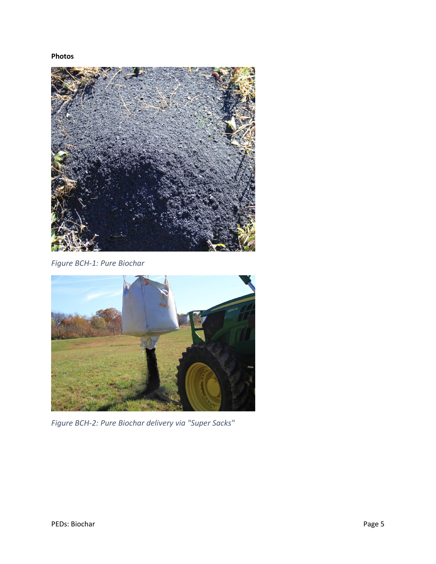**Photos**



*Figure BCH-1: Pure Biochar*



*Figure BCH-2: Pure Biochar delivery via "Super Sacks"*